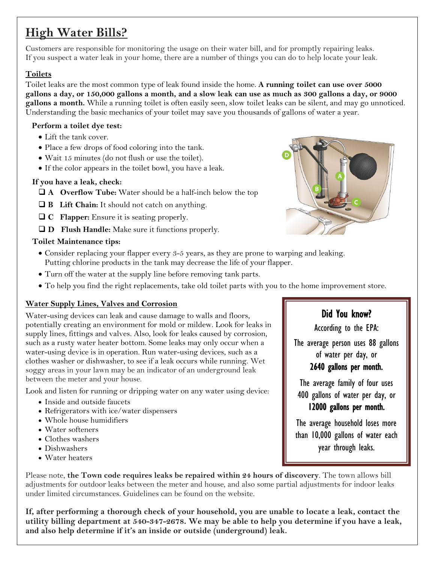# **High Water Bills?**

Customers are responsible for monitoring the usage on their water bill, and for promptly repairing leaks. If you suspect a water leak in your home, there are a number of things you can do to help locate your leak.

#### **Toilets**

Toilet leaks are the most common type of leak found inside the home. **A running toilet can use over 5000 gallons a day, or 150,000 gallons a month, and a slow leak can use as much as 300 gallons a day, or 9000 gallons a month.** While a running toilet is often easily seen, slow toilet leaks can be silent, and may go unnoticed. Understanding the basic mechanics of your toilet may save you thousands of gallons of water a year.

#### **Perform a toilet dye test:**

- Lift the tank cover.
- Place a few drops of food coloring into the tank.
- Wait 15 minutes (do not flush or use the toilet).
- If the color appears in the toilet bowl, you have a leak.

#### **If you have a leak, check:**

- **A** Overflow Tube: Water should be a half-inch below the top
- **B Lift Chain:** It should not catch on anything.
- **C Flapper:** Ensure it is seating properly.
- **D Flush Handle:** Make sure it functions properly.

#### **Toilet Maintenance tips:**

- Consider replacing your flapper every 3-5 years, as they are prone to warping and leaking. Putting chlorine products in the tank may decrease the life of your flapper.
- Turn off the water at the supply line before removing tank parts.
- To help you find the right replacements, take old toilet parts with you to the home improvement store.

### **Water Supply Lines, Valves and Corrosion**

Water-using devices can leak and cause damage to walls and floors, potentially creating an environment for mold or mildew. Look for leaks in supply lines, fittings and valves. Also, look for leaks caused by corrosion, such as a rusty water heater bottom. Some leaks may only occur when a water-using device is in operation. Run water-using devices, such as a clothes washer or dishwasher, to see if a leak occurs while running. Wet soggy areas in your lawn may be an indicator of an underground leak between the meter and your house.

Look and listen for running or dripping water on any water using device:

- Inside and outside faucets
- Refrigerators with ice/water dispensers
- Whole house humidifiers
- Water softeners
- Clothes washers
- Dishwashers
- Water heaters

Please note, **the Town code requires leaks be repaired within 24 hours of discovery**. The town allows bill adjustments for outdoor leaks between the meter and house, and also some partial adjustments for indoor leaks under limited circumstances. Guidelines can be found on the website.

**If, after performing a thorough check of your household, you are unable to locate a leak, contact the utility billing department at 540-347-2678. We may be able to help you determine if you have a leak, and also help determine if it's an inside or outside (underground) leak.**



## Did You know?

According to the EPA: The average person uses 88 gallons of water per day, or 2640 gallons per month.

The average family of four uses 400 gallons of water per day, or 12000 gallons per month.

The average household loses more than 10,000 gallons of water each year through leaks.